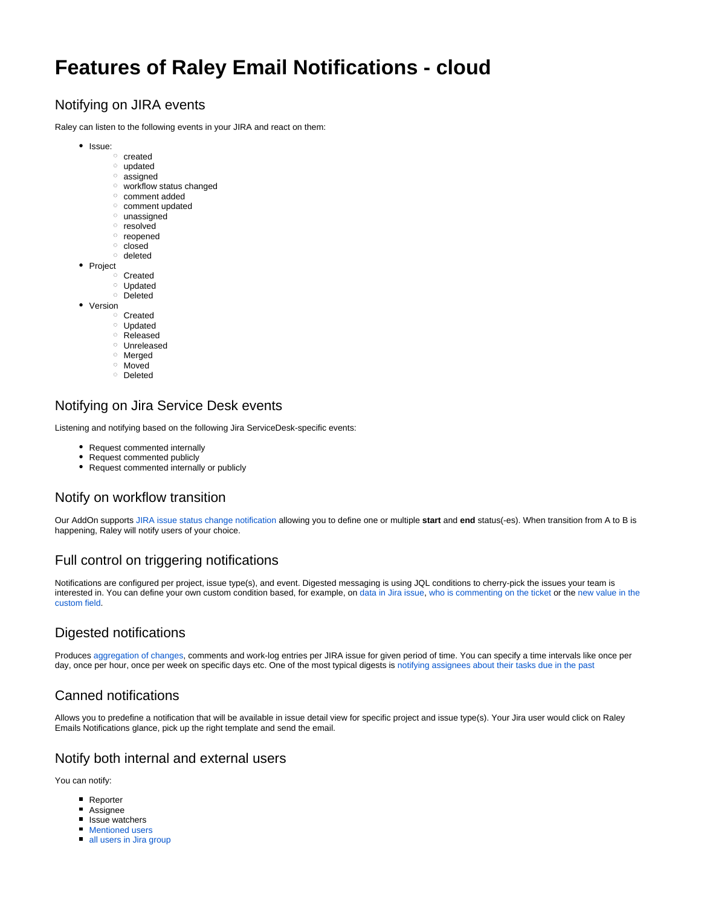# **Features of Raley Email Notifications - cloud**

## Notifying on JIRA events

Raley can listen to the following events in your JIRA and react on them:

- Issue:
	- o created
	- <sup>o</sup> updated
	- o assigned
	- workflow status changed
	- <sup>o</sup> comment added <sup>o</sup> comment updated
	-
	- $^{\circ}$  unassigned
	- o resolved o reopened
	- $\circ$  closed
	- deleted
- Project
	- Created
		- Updated
		- <sup>o</sup> Deleted
- Version
	- Created
		- Updated
		- o Released
		- Unreleased
		- Merged
		- Moved
		- Deleted

### Notifying on Jira Service Desk events

Listening and notifying based on the following Jira ServiceDesk-specific events:

- Request commented internally
- Request commented publicly
- Request commented internally or publicly

### Notify on workflow transition

Our AddOn supports [JIRA issue status change notification](https://wiki.raleyapps.com/display/RAL/Sending+notification+on+workflow+transition) allowing you to define one or multiple **start** and **end** status(-es). When transition from A to B is happening, Raley will notify users of your choice.

## Full control on triggering notifications

Notifications are configured per project, issue type(s), and event. Digested messaging is using JQL conditions to cherry-pick the issues your team is interested in. You can define your own custom condition based, for example, on [data in Jira issue,](https://wiki.raleyapps.com/display/RAL/Notification+based+on+value+chosen+from+custom+field) [who is commenting on the ticket](https://wiki.raleyapps.com/display/RAL/Conditional+notification+depending+on+who+is+commenting+the+ticket+-+server) or the [new value in the](https://wiki.raleyapps.com/display/RAL/Sending+a+notification+when+custom+field+value+changes)  [custom field](https://wiki.raleyapps.com/display/RAL/Sending+a+notification+when+custom+field+value+changes).

## Digested notifications

Produces [aggregation of changes](https://wiki.raleyapps.com/pages/viewpage.action?pageId=9568264), comments and work-log entries per JIRA issue for given period of time. You can specify a time intervals like once per day, once per hour, once per week on specific days etc. One of the most typical digests is [notifying assignees about their tasks due in the past](https://wiki.raleyapps.com/display/RAL/Digested+messaging+-+notifying+assignees+of+issues+that+are+past+due)

### Canned notifications

Allows you to predefine a notification that will be available in issue detail view for specific project and issue type(s). Your Jira user would click on Raley Emails Notifications glance, pick up the right template and send the email.

#### Notify both internal and external users

You can notify:

- Reporter
- $\blacksquare$ Assignee
- $\blacksquare$  Issue watchers
- [Mentioned users](https://wiki.raleyapps.com/display/RAL/How+to+notify+a+user+when+he+is+mentioned)
- **[all users in Jira group](https://wiki.raleyapps.com/display/RAL/Notifying+a+Jira+group)**